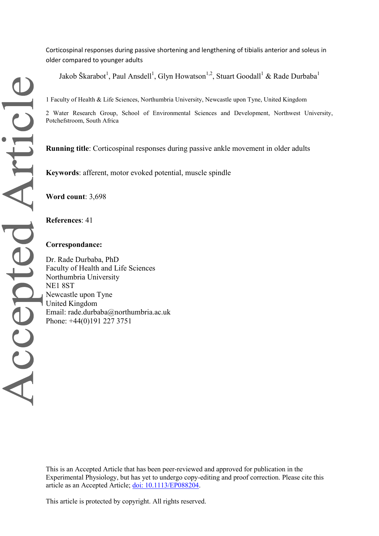Corticospinal responses during passive shortening and lengthening of tibialis anterior and soleus in older compared to younger adults

Jakob Škarabot<sup>1</sup>, Paul Ansdell<sup>1</sup>, Glyn Howatson<sup>1,2</sup>, Stuart Goodall<sup>1</sup> & Rade Durbaba<sup>1</sup>

2 Water Research Group, School of Environmental Sciences and Development, Northwest University, Potchefstroom, South Africa

**Running title**: Corticospinal responses during passive ankle movement in older adults

**Keywords**: afferent, motor evoked potential, muscle spindle

**Word count**: 3,698

**References**: 41

#### **Correspondance:**

Dr. Rade Durbaba, PhD Faculty of Health and Life Sciences Northumbria University NE1 8ST Newcastle upon Tyne United Kingdom Email: rade.durbaba@northumbria.ac.uk Phone: +44(0)191 227 3751

This is an Accepted Article that has been peer-reviewed and approved for publication in the Experimental Physiology, but has yet to undergo copy-editing and proof correction. Please cite this article as an Accepted Article; [doi: 10.1113/EP088204.](https://doi.org/10.1113/EP088204)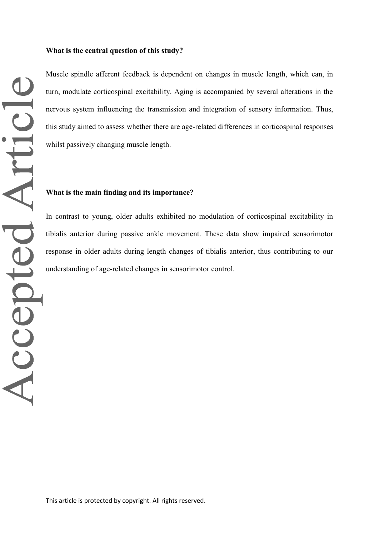Muscle spindle afferent feedback is dependent on changes in muscle length, which can, in turn, modulate corticospinal excitability. Aging is accompanied by several alterations in the nervous system influencing the transmission and integration of sensory information. Thus, this study aimed to assess whether there are age-related differences in corticospinal responses whilst passively changing muscle length.

# **What is the main finding and its importance?**

In contrast to young, older adults exhibited no modulation of corticospinal excitability in tibialis anterior during passive ankle movement. These data show impaired sensorimotor response in older adults during length changes of tibialis anterior, thus contributing to our understanding of age-related changes in sensorimotor control.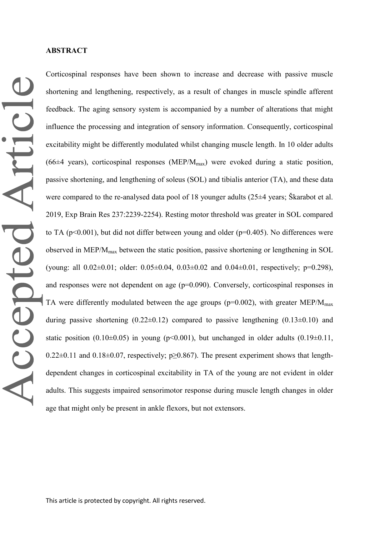Accepted Article

Corticospinal responses have been shown to increase and decrease with passive muscle shortening and lengthening, respectively, as a result of changes in muscle spindle afferent feedback. The aging sensory system is accompanied by a number of alterations that might influence the processing and integration of sensory information. Consequently, corticospinal excitability might be differently modulated whilst changing muscle length. In 10 older adults (66 $\pm$ 4 years), corticospinal responses (MEP/M<sub>max</sub>) were evoked during a static position, passive shortening, and lengthening of soleus (SOL) and tibialis anterior (TA), and these data were compared to the re-analysed data pool of 18 younger adults (25±4 years; Škarabot et al. 2019, Exp Brain Res 237:2239-2254). Resting motor threshold was greater in SOL compared to TA ( $p<0.001$ ), but did not differ between young and older ( $p=0.405$ ). No differences were observed in MEP/Mmax between the static position, passive shortening or lengthening in SOL (young: all 0.02±0.01; older: 0.05±0.04, 0.03±0.02 and 0.04±0.01, respectively; p=0.298), and responses were not dependent on age (p=0.090). Conversely, corticospinal responses in TA were differently modulated between the age groups ( $p=0.002$ ), with greater MEP/ $M_{\text{max}}$ during passive shortening  $(0.22 \pm 0.12)$  compared to passive lengthening  $(0.13 \pm 0.10)$  and static position (0.10 $\pm$ 0.05) in young (p<0.001), but unchanged in older adults (0.19 $\pm$ 0.11, 0.22 $\pm$ 0.11 and 0.18 $\pm$ 0.07, respectively; p $\geq$ 0.867). The present experiment shows that lengthdependent changes in corticospinal excitability in TA of the young are not evident in older adults. This suggests impaired sensorimotor response during muscle length changes in older age that might only be present in ankle flexors, but not extensors.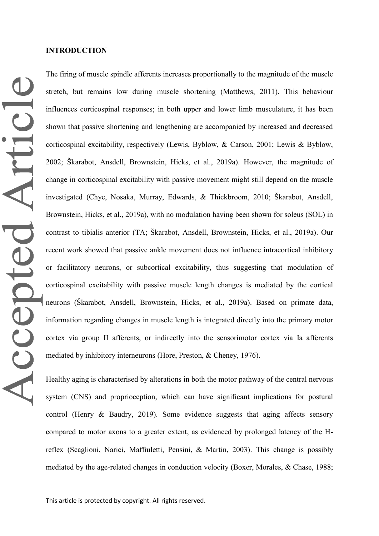The firing of muscle spindle afferents increases proportionally to the magnitude of the muscle stretch, but remains low during muscle shortening (Matthews, 2011). This behaviour influences corticospinal responses; in both upper and lower limb musculature, it has been shown that passive shortening and lengthening are accompanied by increased and decreased corticospinal excitability, respectively (Lewis, Byblow, & Carson, 2001; Lewis & Byblow, 2002; Škarabot, Ansdell, Brownstein, Hicks, et al., 2019a). However, the magnitude of change in corticospinal excitability with passive movement might still depend on the muscle investigated (Chye, Nosaka, Murray, Edwards, & Thickbroom, 2010; Škarabot, Ansdell, Brownstein, Hicks, et al., 2019a), with no modulation having been shown for soleus (SOL) in contrast to tibialis anterior (TA; Škarabot, Ansdell, Brownstein, Hicks, et al., 2019a). Our recent work showed that passive ankle movement does not influence intracortical inhibitory or facilitatory neurons, or subcortical excitability, thus suggesting that modulation of corticospinal excitability with passive muscle length changes is mediated by the cortical neurons (Škarabot, Ansdell, Brownstein, Hicks, et al., 2019a). Based on primate data, information regarding changes in muscle length is integrated directly into the primary motor cortex via group II afferents, or indirectly into the sensorimotor cortex via Ia afferents mediated by inhibitory interneurons (Hore, Preston, & Cheney, 1976).

Healthy aging is characterised by alterations in both the motor pathway of the central nervous system (CNS) and proprioception, which can have significant implications for postural control (Henry & Baudry, 2019). Some evidence suggests that aging affects sensory compared to motor axons to a greater extent, as evidenced by prolonged latency of the Hreflex (Scaglioni, Narici, Maffiuletti, Pensini, & Martin, 2003). This change is possibly mediated by the age-related changes in conduction velocity (Boxer, Morales, & Chase, 1988;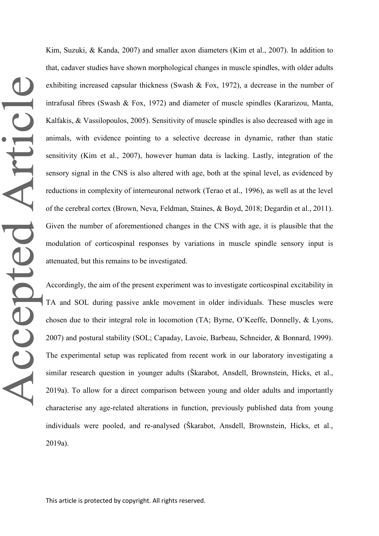Kim, Suzuki, & Kanda, 2007) and smaller axon diameters (Kim et al., 2007). In addition to that, cadaver studies have shown morphological changes in muscle spindles, with older adults exhibiting increased capsular thickness (Swash & Fox, 1972), a decrease in the number of intrafusal fibres (Swash & Fox, 1972) and diameter of muscle spindles (Kararizou, Manta, Kalfakis, & Vassilopoulos, 2005). Sensitivity of muscle spindles is also decreased with age in animals, with evidence pointing to a selective decrease in dynamic, rather than static sensitivity (Kim et al., 2007), however human data is lacking. Lastly, integration of the sensory signal in the CNS is also altered with age, both at the spinal level, as evidenced by reductions in complexity of interneuronal network (Terao et al., 1996), as well as at the level of the cerebral cortex (Brown, Neva, Feldman, Staines, & Boyd, 2018; Degardin et al., 2011). Given the number of aforementioned changes in the CNS with age, it is plausible that the modulation of corticospinal responses by variations in muscle spindle sensory input is attenuated, but this remains to be investigated.

Accordingly, the aim of the present experiment was to investigate corticospinal excitability in TA and SOL during passive ankle movement in older individuals. These muscles were chosen due to their integral role in locomotion (TA; Byrne, O'Keeffe, Donnelly, & Lyons, 2007) and postural stability (SOL; Capaday, Lavoie, Barbeau, Schneider, & Bonnard, 1999). The experimental setup was replicated from recent work in our laboratory investigating a similar research question in younger adults (Škarabot, Ansdell, Brownstein, Hicks, et al., 2019a). To allow for a direct comparison between young and older adults and importantly characterise any age-related alterations in function, previously published data from young individuals were pooled, and re-analysed (Škarabot, Ansdell, Brownstein, Hicks, et al., 2019a).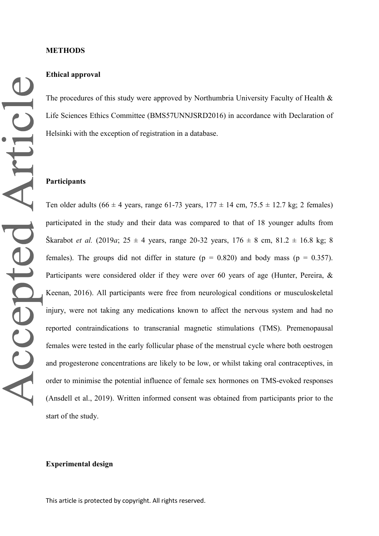## **Ethical approval**

The procedures of this study were approved by Northumbria University Faculty of Health & Life Sciences Ethics Committee (BMS57UNNJSRD2016) in accordance with Declaration of Helsinki with the exception of registration in a database.

#### **Participants**

Ten older adults (66  $\pm$  4 years, range 61-73 years, 177  $\pm$  14 cm, 75.5  $\pm$  12.7 kg; 2 females) participated in the study and their data was compared to that of 18 younger adults from Škarabot *et al.* (2019*a*; 25  $\pm$  4 years, range 20-32 years, 176  $\pm$  8 cm, 81.2  $\pm$  16.8 kg; 8 females). The groups did not differ in stature ( $p = 0.820$ ) and body mass ( $p = 0.357$ ). Participants were considered older if they were over 60 years of age (Hunter, Pereira, & Keenan, 2016). All participants were free from neurological conditions or musculoskeletal injury, were not taking any medications known to affect the nervous system and had no reported contraindications to transcranial magnetic stimulations (TMS). Premenopausal females were tested in the early follicular phase of the menstrual cycle where both oestrogen and progesterone concentrations are likely to be low, or whilst taking oral contraceptives, in order to minimise the potential influence of female sex hormones on TMS-evoked responses (Ansdell et al., 2019). Written informed consent was obtained from participants prior to the start of the study.

### **Experimental design**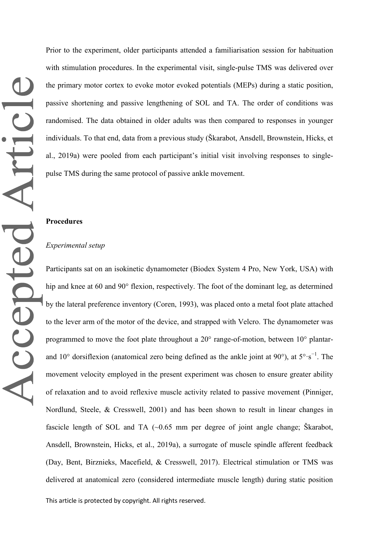Prior to the experiment, older participants attended a familiarisation session for habituation with stimulation procedures. In the experimental visit, single-pulse TMS was delivered over the primary motor cortex to evoke motor evoked potentials (MEPs) during a static position, passive shortening and passive lengthening of SOL and TA. The order of conditions was randomised. The data obtained in older adults was then compared to responses in younger individuals. To that end, data from a previous study (Škarabot, Ansdell, Brownstein, Hicks, et al., 2019a) were pooled from each participant's initial visit involving responses to singlepulse TMS during the same protocol of passive ankle movement.

#### **Procedures**

### *Experimental setup*

Participants sat on an isokinetic dynamometer (Biodex System 4 Pro, New York, USA) with hip and knee at 60 and 90° flexion, respectively. The foot of the dominant leg, as determined by the lateral preference inventory (Coren, 1993), was placed onto a metal foot plate attached to the lever arm of the motor of the device, and strapped with Velcro. The dynamometer was programmed to move the foot plate throughout a 20° range-of-motion, between 10° plantarand 10° dorsiflexion (anatomical zero being defined as the ankle joint at 90°), at  $5^{\circ} \cdot s^{-1}$ . The movement velocity employed in the present experiment was chosen to ensure greater ability of relaxation and to avoid reflexive muscle activity related to passive movement (Pinniger, Nordlund, Steele, & Cresswell, 2001) and has been shown to result in linear changes in fascicle length of SOL and TA (~0.65 mm per degree of joint angle change; Škarabot, Ansdell, Brownstein, Hicks, et al., 2019a), a surrogate of muscle spindle afferent feedback (Day, Bent, Birznieks, Macefield, & Cresswell, 2017). Electrical stimulation or TMS was delivered at anatomical zero (considered intermediate muscle length) during static position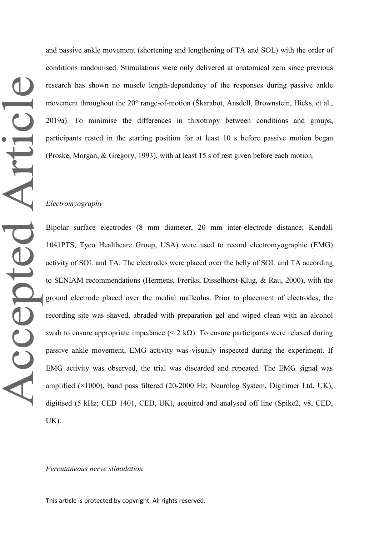and passive ankle movement (shortening and lengthening of TA and SOL) with the order of conditions randomised. Stimulations were only delivered at anatomical zero since previous research has shown no muscle length-dependency of the responses during passive ankle movement throughout the 20° range-of-motion (Škarabot, Ansdell, Brownstein, Hicks, et al., 2019a). To minimise the differences in thixotropy between conditions and groups, participants rested in the starting position for at least 10 s before passive motion began (Proske, Morgan, & Gregory, 1993), with at least 15 s of rest given before each motion.

### *Electromyography*

Bipolar surface electrodes (8 mm diameter, 20 mm inter-electrode distance; Kendall 1041PTS, Tyco Healthcare Group, USA) were used to record electromyographic (EMG) activity of SOL and TA. The electrodes were placed over the belly of SOL and TA according to SENIAM recommendations (Hermens, Freriks, Disselhorst-Klug, & Rau, 2000), with the ground electrode placed over the medial malleolus. Prior to placement of electrodes, the recording site was shaved, abraded with preparation gel and wiped clean with an alcohol swab to ensure appropriate impedance ( $\leq 2 \text{ k}\Omega$ ). To ensure participants were relaxed during passive ankle movement, EMG activity was visually inspected during the experiment. If EMG activity was observed, the trial was discarded and repeated. The EMG signal was amplified  $(\times 1000)$ , band pass filtered (20-2000 Hz; Neurolog System, Digitimer Ltd, UK), digitised (5 kHz; CED 1401, CED, UK), acquired and analysed off line (Spike2, v8, CED, UK).

#### *Percutaneous nerve stimulation*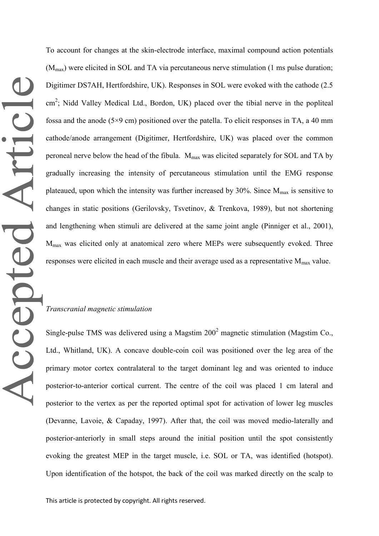To account for changes at the skin-electrode interface, maximal compound action potentials  $(M<sub>max</sub>)$  were elicited in SOL and TA via percutaneous nerve stimulation (1 ms pulse duration; Digitimer DS7AH, Hertfordshire, UK). Responses in SOL were evoked with the cathode (2.5 cm<sup>2</sup>; Nidd Valley Medical Ltd., Bordon, UK) placed over the tibial nerve in the popliteal fossa and the anode  $(5\times9 \text{ cm})$  positioned over the patella. To elicit responses in TA, a 40 mm cathode/anode arrangement (Digitimer, Hertfordshire, UK) was placed over the common peroneal nerve below the head of the fibula. M<sub>max</sub> was elicited separately for SOL and TA by gradually increasing the intensity of percutaneous stimulation until the EMG response plateaued, upon which the intensity was further increased by 30%. Since  $M_{\text{max}}$  is sensitive to changes in static positions (Gerilovsky, Tsvetinov, & Trenkova, 1989), but not shortening and lengthening when stimuli are delivered at the same joint angle (Pinniger et al., 2001), Mmax was elicited only at anatomical zero where MEPs were subsequently evoked. Three responses were elicited in each muscle and their average used as a representative  $M_{\text{max}}$  value.

# *Transcranial magnetic stimulation*

Single-pulse TMS was delivered using a Magstim  $200<sup>2</sup>$  magnetic stimulation (Magstim Co., Ltd., Whitland, UK). A concave double-coin coil was positioned over the leg area of the primary motor cortex contralateral to the target dominant leg and was oriented to induce posterior-to-anterior cortical current. The centre of the coil was placed 1 cm lateral and posterior to the vertex as per the reported optimal spot for activation of lower leg muscles (Devanne, Lavoie, & Capaday, 1997). After that, the coil was moved medio-laterally and posterior-anteriorly in small steps around the initial position until the spot consistently evoking the greatest MEP in the target muscle, i.e. SOL or TA, was identified (hotspot). Upon identification of the hotspot, the back of the coil was marked directly on the scalp to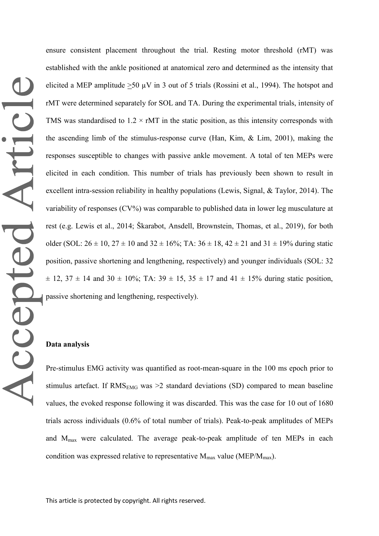ensure consistent placement throughout the trial. Resting motor threshold (rMT) was established with the ankle positioned at anatomical zero and determined as the intensity that elicited a MEP amplitude  $>50 \mu V$  in 3 out of 5 trials (Rossini et al., 1994). The hotspot and rMT were determined separately for SOL and TA. During the experimental trials, intensity of TMS was standardised to  $1.2 \times \text{rMT}$  in the static position, as this intensity corresponds with the ascending limb of the stimulus-response curve (Han, Kim, & Lim, 2001), making the responses susceptible to changes with passive ankle movement. A total of ten MEPs were elicited in each condition. This number of trials has previously been shown to result in excellent intra-session reliability in healthy populations (Lewis, Signal, & Taylor, 2014). The variability of responses (CV%) was comparable to published data in lower leg musculature at rest (e.g. Lewis et al., 2014; Škarabot, Ansdell, Brownstein, Thomas, et al., 2019), for both older (SOL:  $26 \pm 10$ ,  $27 \pm 10$  and  $32 \pm 16\%$ ; TA:  $36 \pm 18$ ,  $42 \pm 21$  and  $31 \pm 19\%$  during static position, passive shortening and lengthening, respectively) and younger individuals (SOL: 32  $\pm$  12, 37  $\pm$  14 and 30  $\pm$  10%; TA: 39  $\pm$  15, 35  $\pm$  17 and 41  $\pm$  15% during static position, passive shortening and lengthening, respectively).

# **Data analysis**

Pre-stimulus EMG activity was quantified as root-mean-square in the 100 ms epoch prior to stimulus artefact. If  $RMS<sub>EMG</sub>$  was >2 standard deviations (SD) compared to mean baseline values, the evoked response following it was discarded. This was the case for 10 out of 1680 trials across individuals (0.6% of total number of trials). Peak-to-peak amplitudes of MEPs and Mmax were calculated. The average peak-to-peak amplitude of ten MEPs in each condition was expressed relative to representative  $M_{\text{max}}$  value (MEP/ $M_{\text{max}}$ ).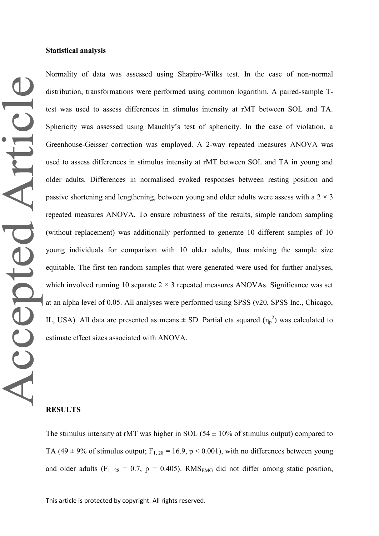Normality of data was assessed using Shapiro-Wilks test. In the case of non-normal distribution, transformations were performed using common logarithm. A paired-sample Ttest was used to assess differences in stimulus intensity at rMT between SOL and TA. Sphericity was assessed using Mauchly's test of sphericity. In the case of violation, a Greenhouse-Geisser correction was employed. A 2-way repeated measures ANOVA was used to assess differences in stimulus intensity at rMT between SOL and TA in young and older adults. Differences in normalised evoked responses between resting position and passive shortening and lengthening, between young and older adults were assess with a  $2 \times 3$ repeated measures ANOVA. To ensure robustness of the results, simple random sampling (without replacement) was additionally performed to generate 10 different samples of 10 young individuals for comparison with 10 older adults, thus making the sample size equitable. The first ten random samples that were generated were used for further analyses, which involved running 10 separate  $2 \times 3$  repeated measures ANOVAs. Significance was set at an alpha level of 0.05. All analyses were performed using SPSS (v20, SPSS Inc., Chicago, IL, USA). All data are presented as means  $\pm$  SD. Partial eta squared  $(\eta_p^2)$  was calculated to estimate effect sizes associated with ANOVA.

# **RESULTS**

The stimulus intensity at rMT was higher in SOL ( $54 \pm 10\%$  of stimulus output) compared to TA (49  $\pm$  9% of stimulus output; F<sub>1, 28</sub> = 16.9, p < 0.001), with no differences between young and older adults (F<sub>1, 28</sub> = 0.7, p = 0.405). RMS<sub>EMG</sub> did not differ among static position,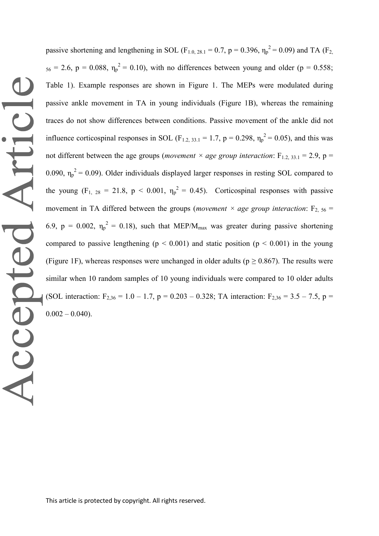passive shortening and lengthening in SOL (F<sub>1.0, 28.1</sub> = 0.7, p = 0.396,  $\eta_p^2$  = 0.09) and TA (F<sub>2,</sub>  $_{56}$  = 2.6, p = 0.088,  $\eta_p^2$  = 0.10), with no differences between young and older (p = 0.558; Table 1). Example responses are shown in Figure 1. The MEPs were modulated during passive ankle movement in TA in young individuals (Figure 1B), whereas the remaining traces do not show differences between conditions. Passive movement of the ankle did not influence corticospinal responses in SOL ( $F_{1,2, 33,1} = 1.7$ ,  $p = 0.298$ ,  $\eta_p^2 = 0.05$ ), and this was not different between the age groups (*movement*  $\times$  *age group interaction*: F<sub>1.2, 33.1</sub> = 2.9, p = 0.090,  $\eta_p^2 = 0.09$ ). Older individuals displayed larger responses in resting SOL compared to the young  $(F_1, 28 = 21.8, p < 0.001, \eta_p^2 = 0.45)$ . Corticospinal responses with passive movement in TA differed between the groups (*movement*  $\times$  *age group interaction*: F<sub>2, 56</sub> = 6.9,  $p = 0.002$ ,  $\eta_p^2 = 0.18$ ), such that MEP/M<sub>max</sub> was greater during passive shortening compared to passive lengthening ( $p < 0.001$ ) and static position ( $p < 0.001$ ) in the young (Figure 1F), whereas responses were unchanged in older adults ( $p \ge 0.867$ ). The results were similar when 10 random samples of 10 young individuals were compared to 10 older adults (SOL interaction:  $F_{2,36} = 1.0 - 1.7$ ,  $p = 0.203 - 0.328$ ; TA interaction:  $F_{2,36} = 3.5 - 7.5$ ,  $p =$  $0.002 - 0.040$ .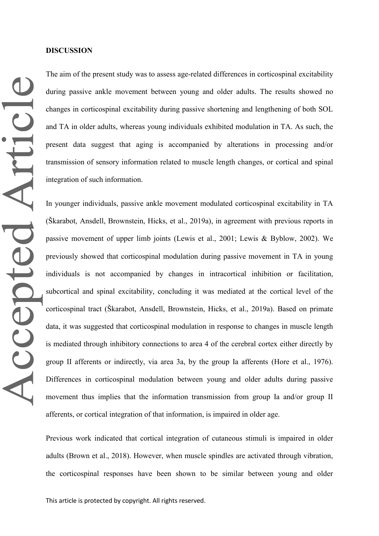The aim of the present study was to assess age-related differences in corticospinal excitability during passive ankle movement between young and older adults. The results showed no changes in corticospinal excitability during passive shortening and lengthening of both SOL and TA in older adults, whereas young individuals exhibited modulation in TA. As such, the present data suggest that aging is accompanied by alterations in processing and/or transmission of sensory information related to muscle length changes, or cortical and spinal integration of such information.

In younger individuals, passive ankle movement modulated corticospinal excitability in TA (Škarabot, Ansdell, Brownstein, Hicks, et al., 2019a), in agreement with previous reports in passive movement of upper limb joints (Lewis et al., 2001; Lewis & Byblow, 2002). We previously showed that corticospinal modulation during passive movement in TA in young individuals is not accompanied by changes in intracortical inhibition or facilitation, subcortical and spinal excitability, concluding it was mediated at the cortical level of the corticospinal tract (Škarabot, Ansdell, Brownstein, Hicks, et al., 2019a). Based on primate data, it was suggested that corticospinal modulation in response to changes in muscle length is mediated through inhibitory connections to area 4 of the cerebral cortex either directly by group II afferents or indirectly, via area 3a, by the group Ia afferents (Hore et al., 1976). Differences in corticospinal modulation between young and older adults during passive movement thus implies that the information transmission from group Ia and/or group II afferents, or cortical integration of that information, is impaired in older age.

Previous work indicated that cortical integration of cutaneous stimuli is impaired in older adults (Brown et al., 2018). However, when muscle spindles are activated through vibration, the corticospinal responses have been shown to be similar between young and older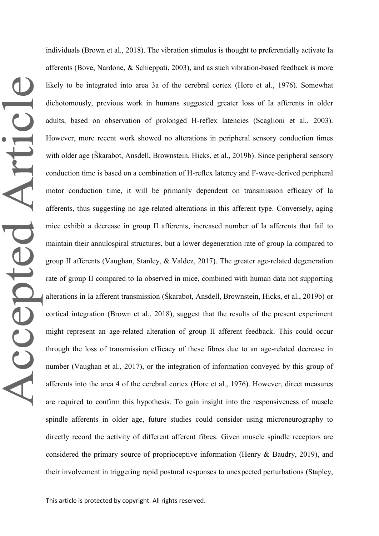individuals (Brown et al., 2018). The vibration stimulus is thought to preferentially activate Ia afferents (Bove, Nardone, & Schieppati, 2003), and as such vibration-based feedback is more likely to be integrated into area 3a of the cerebral cortex (Hore et al., 1976). Somewhat dichotomously, previous work in humans suggested greater loss of Ia afferents in older adults, based on observation of prolonged H-reflex latencies (Scaglioni et al., 2003). However, more recent work showed no alterations in peripheral sensory conduction times with older age (Škarabot, Ansdell, Brownstein, Hicks, et al., 2019b). Since peripheral sensory conduction time is based on a combination of H-reflex latency and F-wave-derived peripheral motor conduction time, it will be primarily dependent on transmission efficacy of Ia afferents, thus suggesting no age-related alterations in this afferent type. Conversely, aging mice exhibit a decrease in group II afferents, increased number of Ia afferents that fail to maintain their annulospiral structures, but a lower degeneration rate of group Ia compared to group II afferents (Vaughan, Stanley, & Valdez, 2017). The greater age-related degeneration rate of group II compared to Ia observed in mice, combined with human data not supporting alterations in Ia afferent transmission (Škarabot, Ansdell, Brownstein, Hicks, et al., 2019b) or cortical integration (Brown et al., 2018), suggest that the results of the present experiment might represent an age-related alteration of group II afferent feedback. This could occur through the loss of transmission efficacy of these fibres due to an age-related decrease in number (Vaughan et al., 2017), or the integration of information conveyed by this group of afferents into the area 4 of the cerebral cortex (Hore et al., 1976). However, direct measures are required to confirm this hypothesis. To gain insight into the responsiveness of muscle spindle afferents in older age, future studies could consider using microneurography to directly record the activity of different afferent fibres. Given muscle spindle receptors are considered the primary source of proprioceptive information (Henry & Baudry, 2019), and their involvement in triggering rapid postural responses to unexpected perturbations (Stapley,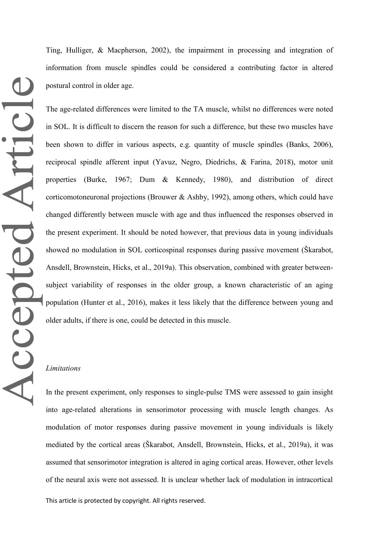Ting, Hulliger, & Macpherson, 2002), the impairment in processing and integration of information from muscle spindles could be considered a contributing factor in altered postural control in older age.

The age-related differences were limited to the TA muscle, whilst no differences were noted in SOL. It is difficult to discern the reason for such a difference, but these two muscles have been shown to differ in various aspects, e.g. quantity of muscle spindles (Banks, 2006), reciprocal spindle afferent input (Yavuz, Negro, Diedrichs, & Farina, 2018), motor unit properties (Burke, 1967; Dum & Kennedy, 1980), and distribution of direct corticomotoneuronal projections (Brouwer & Ashby, 1992), among others, which could have changed differently between muscle with age and thus influenced the responses observed in the present experiment. It should be noted however, that previous data in young individuals showed no modulation in SOL corticospinal responses during passive movement (Škarabot, Ansdell, Brownstein, Hicks, et al., 2019a). This observation, combined with greater betweensubject variability of responses in the older group, a known characteristic of an aging population (Hunter et al., 2016), makes it less likely that the difference between young and older adults, if there is one, could be detected in this muscle.

#### *Limitations*

In the present experiment, only responses to single-pulse TMS were assessed to gain insight into age-related alterations in sensorimotor processing with muscle length changes. As modulation of motor responses during passive movement in young individuals is likely mediated by the cortical areas (Škarabot, Ansdell, Brownstein, Hicks, et al., 2019a), it was assumed that sensorimotor integration is altered in aging cortical areas. However, other levels of the neural axis were not assessed. It is unclear whether lack of modulation in intracortical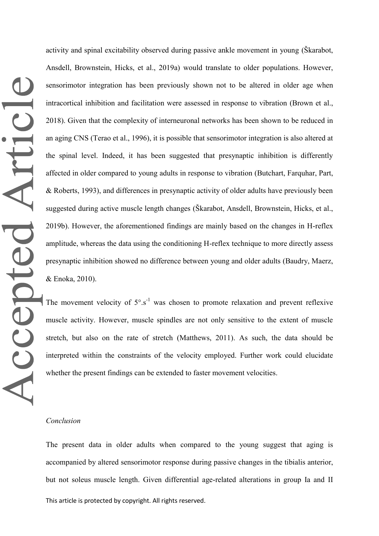activity and spinal excitability observed during passive ankle movement in young (Škarabot, Ansdell, Brownstein, Hicks, et al., 2019a) would translate to older populations. However, sensorimotor integration has been previously shown not to be altered in older age when intracortical inhibition and facilitation were assessed in response to vibration (Brown et al., 2018). Given that the complexity of interneuronal networks has been shown to be reduced in an aging CNS (Terao et al., 1996), it is possible that sensorimotor integration is also altered at the spinal level. Indeed, it has been suggested that presynaptic inhibition is differently affected in older compared to young adults in response to vibration (Butchart, Farquhar, Part, & Roberts, 1993), and differences in presynaptic activity of older adults have previously been suggested during active muscle length changes (Škarabot, Ansdell, Brownstein, Hicks, et al., 2019b). However, the aforementioned findings are mainly based on the changes in H-reflex amplitude, whereas the data using the conditioning H-reflex technique to more directly assess presynaptic inhibition showed no difference between young and older adults (Baudry, Maerz, & Enoka, 2010).

The movement velocity of  $5^\circ \cdot s^{-1}$  was chosen to promote relaxation and prevent reflexive muscle activity. However, muscle spindles are not only sensitive to the extent of muscle stretch, but also on the rate of stretch (Matthews, 2011). As such, the data should be interpreted within the constraints of the velocity employed. Further work could elucidate whether the present findings can be extended to faster movement velocities.

#### *Conclusion*

This article is protected by copyright. All rights reserved. The present data in older adults when compared to the young suggest that aging is accompanied by altered sensorimotor response during passive changes in the tibialis anterior, but not soleus muscle length. Given differential age-related alterations in group Ia and II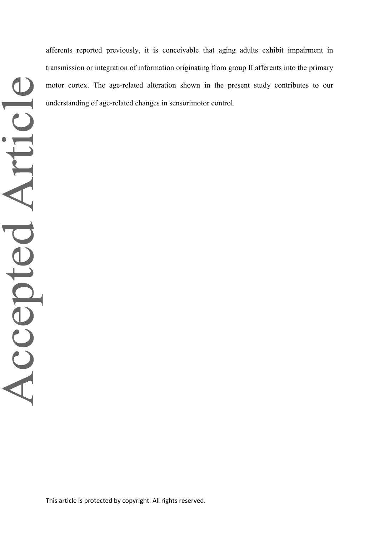afferents reported previously, it is conceivable that aging adults exhibit impairment in transmission or integration of information originating from group II afferents into the primary motor cortex. The age-related alteration shown in the present study contributes to our understanding of age-related changes in sensorimotor control.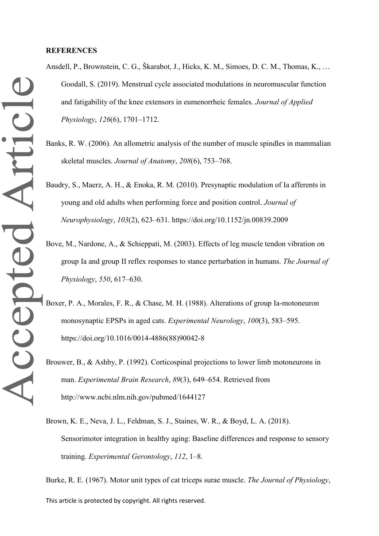#### **REFERENCES**

- Ansdell, P., Brownstein, C. G., Škarabot, J., Hicks, K. M., Simoes, D. C. M., Thomas, K., … Goodall, S. (2019). Menstrual cycle associated modulations in neuromuscular function and fatigability of the knee extensors in eumenorrheic females. *Journal of Applied Physiology*, *126*(6), 1701–1712.
- Banks, R. W. (2006). An allometric analysis of the number of muscle spindles in mammalian skeletal muscles. *Journal of Anatomy*, *208*(6), 753–768.
- Baudry, S., Maerz, A. H., & Enoka, R. M. (2010). Presynaptic modulation of Ia afferents in young and old adults when performing force and position control. *Journal of Neurophysiology*, *103*(2), 623–631. https://doi.org/10.1152/jn.00839.2009
- Bove, M., Nardone, A., & Schieppati, M. (2003). Effects of leg muscle tendon vibration on group Ia and group II reflex responses to stance perturbation in humans. *The Journal of Physiology*, *550*, 617–630.
- Boxer, P. A., Morales, F. R., & Chase, M. H. (1988). Alterations of group Ia-motoneuron monosynaptic EPSPs in aged cats. *Experimental Neurology*, *100*(3), 583–595. https://doi.org/10.1016/0014-4886(88)90042-8
- Brouwer, B., & Ashby, P. (1992). Corticospinal projections to lower limb motoneurons in man. *Experimental Brain Research*, *89*(3), 649–654. Retrieved from http://www.ncbi.nlm.nih.gov/pubmed/1644127
- Brown, K. E., Neva, J. L., Feldman, S. J., Staines, W. R., & Boyd, L. A. (2018). Sensorimotor integration in healthy aging: Baseline differences and response to sensory training. *Experimental Gerontology*, *112*, 1–8.

This article is protected by copyright. All rights reserved. Burke, R. E. (1967). Motor unit types of cat triceps surae muscle. *The Journal of Physiology*,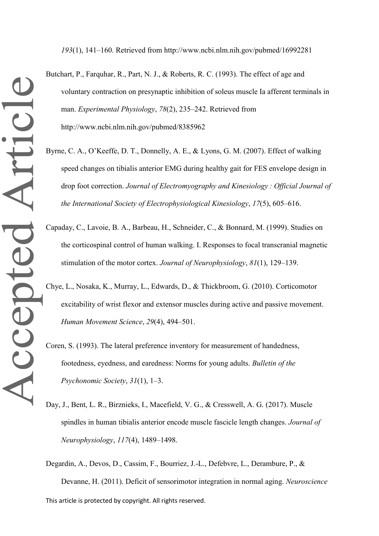*193*(1), 141–160. Retrieved from http://www.ncbi.nlm.nih.gov/pubmed/16992281

- Butchart, P., Farquhar, R., Part, N. J., & Roberts, R. C. (1993). The effect of age and voluntary contraction on presynaptic inhibition of soleus muscle Ia afferent terminals in man. *Experimental Physiology*, *78*(2), 235–242. Retrieved from http://www.ncbi.nlm.nih.gov/pubmed/8385962
- Byrne, C. A., O'Keeffe, D. T., Donnelly, A. E., & Lyons, G. M. (2007). Effect of walking speed changes on tibialis anterior EMG during healthy gait for FES envelope design in drop foot correction. *Journal of Electromyography and Kinesiology : Official Journal of the International Society of Electrophysiological Kinesiology*, *17*(5), 605–616.
- Capaday, C., Lavoie, B. A., Barbeau, H., Schneider, C., & Bonnard, M. (1999). Studies on the corticospinal control of human walking. I. Responses to focal transcranial magnetic stimulation of the motor cortex. *Journal of Neurophysiology*, *81*(1), 129–139.
- Chye, L., Nosaka, K., Murray, L., Edwards, D., & Thickbroom, G. (2010). Corticomotor excitability of wrist flexor and extensor muscles during active and passive movement. *Human Movement Science*, *29*(4), 494–501.
- Coren, S. (1993). The lateral preference inventory for measurement of handedness, footedness, eyedness, and earedness: Norms for young adults. *Bulletin of the Psychonomic Society*, *31*(1), 1–3.
- Day, J., Bent, L. R., Birznieks, I., Macefield, V. G., & Cresswell, A. G. (2017). Muscle spindles in human tibialis anterior encode muscle fascicle length changes. *Journal of Neurophysiology*, *117*(4), 1489–1498.

This article is protected by copyright. All rights reserved. Degardin, A., Devos, D., Cassim, F., Bourriez, J.-L., Defebvre, L., Derambure, P., & Devanne, H. (2011). Deficit of sensorimotor integration in normal aging. *Neuroscience*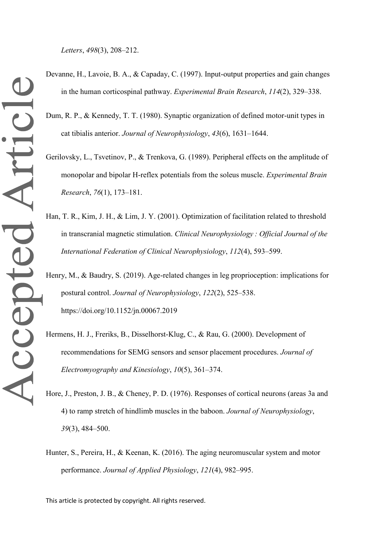*Letters*, *498*(3), 208–212.

- Devanne, H., Lavoie, B. A., & Capaday, C. (1997). Input-output properties and gain changes in the human corticospinal pathway. *Experimental Brain Research*, *114*(2), 329–338.
	- Dum, R. P., & Kennedy, T. T. (1980). Synaptic organization of defined motor-unit types in cat tibialis anterior. *Journal of Neurophysiology*, *43*(6), 1631–1644.
	- Gerilovsky, L., Tsvetinov, P., & Trenkova, G. (1989). Peripheral effects on the amplitude of monopolar and bipolar H-reflex potentials from the soleus muscle. *Experimental Brain Research*, *76*(1), 173–181.
	- Han, T. R., Kim, J. H., & Lim, J. Y. (2001). Optimization of facilitation related to threshold in transcranial magnetic stimulation. *Clinical Neurophysiology : Official Journal of the International Federation of Clinical Neurophysiology*, *112*(4), 593–599.
	- Henry, M., & Baudry, S. (2019). Age-related changes in leg proprioception: implications for postural control. *Journal of Neurophysiology*, *122*(2), 525–538. https://doi.org/10.1152/jn.00067.2019
- Hermens, H. J., Freriks, B., Disselhorst-Klug, C., & Rau, G. (2000). Development of recommendations for SEMG sensors and sensor placement procedures. *Journal of Electromyography and Kinesiology*, *10*(5), 361–374.
- Hore, J., Preston, J. B., & Cheney, P. D. (1976). Responses of cortical neurons (areas 3a and 4) to ramp stretch of hindlimb muscles in the baboon. *Journal of Neurophysiology*, *39*(3), 484–500.
- Hunter, S., Pereira, H., & Keenan, K. (2016). The aging neuromuscular system and motor performance. *Journal of Applied Physiology*, *121*(4), 982–995.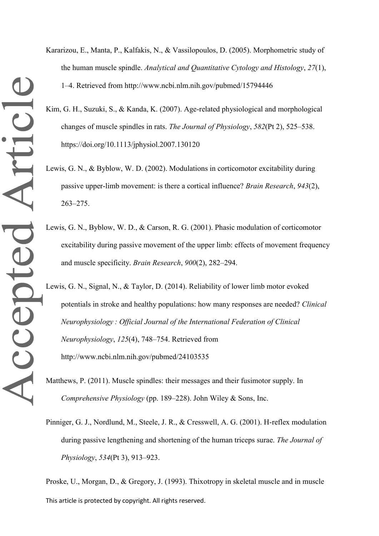- Kararizou, E., Manta, P., Kalfakis, N., & Vassilopoulos, D. (2005). Morphometric study of the human muscle spindle. *Analytical and Quantitative Cytology and Histology*, *27*(1), 1–4. Retrieved from http://www.ncbi.nlm.nih.gov/pubmed/15794446
- Kim, G. H., Suzuki, S., & Kanda, K. (2007). Age-related physiological and morphological changes of muscle spindles in rats. *The Journal of Physiology*, *582*(Pt 2), 525–538. https://doi.org/10.1113/jphysiol.2007.130120
- Lewis, G. N., & Byblow, W. D. (2002). Modulations in corticomotor excitability during passive upper-limb movement: is there a cortical influence? *Brain Research*, *943*(2), 263–275.
- Lewis, G. N., Byblow, W. D., & Carson, R. G. (2001). Phasic modulation of corticomotor excitability during passive movement of the upper limb: effects of movement frequency and muscle specificity. *Brain Research*, *900*(2), 282–294.
- Lewis, G. N., Signal, N., & Taylor, D. (2014). Reliability of lower limb motor evoked potentials in stroke and healthy populations: how many responses are needed? *Clinical Neurophysiology : Official Journal of the International Federation of Clinical Neurophysiology*, *125*(4), 748–754. Retrieved from http://www.ncbi.nlm.nih.gov/pubmed/24103535
- Matthews, P. (2011). Muscle spindles: their messages and their fusimotor supply. In *Comprehensive Physiology* (pp. 189–228). John Wiley & Sons, Inc.
- Pinniger, G. J., Nordlund, M., Steele, J. R., & Cresswell, A. G. (2001). H-reflex modulation during passive lengthening and shortening of the human triceps surae. *The Journal of Physiology*, *534*(Pt 3), 913–923.

This article is protected by copyright. All rights reserved. Proske, U., Morgan, D., & Gregory, J. (1993). Thixotropy in skeletal muscle and in muscle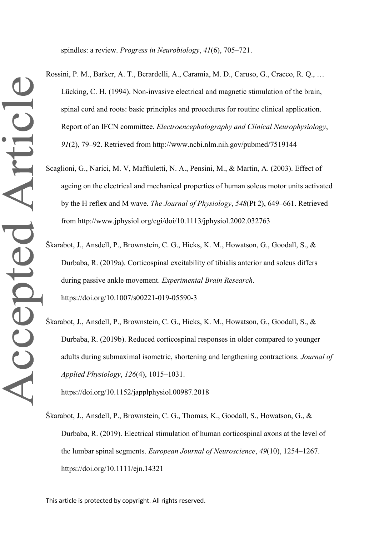spindles: a review. *Progress in Neurobiology*, *41*(6), 705–721.

- Rossini, P. M., Barker, A. T., Berardelli, A., Caramia, M. D., Caruso, G., Cracco, R. Q., … Lücking, C. H. (1994). Non-invasive electrical and magnetic stimulation of the brain, spinal cord and roots: basic principles and procedures for routine clinical application. Report of an IFCN committee. *Electroencephalography and Clinical Neurophysiology*, *91*(2), 79–92. Retrieved from http://www.ncbi.nlm.nih.gov/pubmed/7519144
- Scaglioni, G., Narici, M. V, Maffiuletti, N. A., Pensini, M., & Martin, A. (2003). Effect of ageing on the electrical and mechanical properties of human soleus motor units activated by the H reflex and M wave. *The Journal of Physiology*, *548*(Pt 2), 649–661. Retrieved from http://www.jphysiol.org/cgi/doi/10.1113/jphysiol.2002.032763
- Škarabot, J., Ansdell, P., Brownstein, C. G., Hicks, K. M., Howatson, G., Goodall, S., & Durbaba, R. (2019a). Corticospinal excitability of tibialis anterior and soleus differs during passive ankle movement. *Experimental Brain Research*. https://doi.org/10.1007/s00221-019-05590-3
- Škarabot, J., Ansdell, P., Brownstein, C. G., Hicks, K. M., Howatson, G., Goodall, S., & Durbaba, R. (2019b). Reduced corticospinal responses in older compared to younger adults during submaximal isometric, shortening and lengthening contractions. *Journal of Applied Physiology*, *126*(4), 1015–1031.

https://doi.org/10.1152/japplphysiol.00987.2018

Škarabot, J., Ansdell, P., Brownstein, C. G., Thomas, K., Goodall, S., Howatson, G., & Durbaba, R. (2019). Electrical stimulation of human corticospinal axons at the level of the lumbar spinal segments. *European Journal of Neuroscience*, *49*(10), 1254–1267. https://doi.org/10.1111/ejn.14321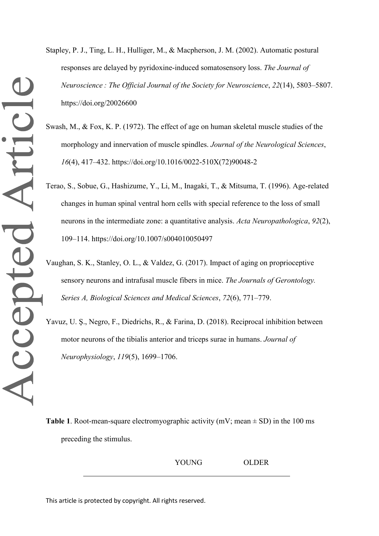Stapley, P. J., Ting, L. H., Hulliger, M., & Macpherson, J. M. (2002). Automatic postural responses are delayed by pyridoxine-induced somatosensory loss. *The Journal of Neuroscience : The Official Journal of the Society for Neuroscience*, *22*(14), 5803–5807. https://doi.org/20026600

- Swash, M., & Fox, K. P. (1972). The effect of age on human skeletal muscle studies of the morphology and innervation of muscle spindles. *Journal of the Neurological Sciences*, *16*(4), 417–432. https://doi.org/10.1016/0022-510X(72)90048-2
- Terao, S., Sobue, G., Hashizume, Y., Li, M., Inagaki, T., & Mitsuma, T. (1996). Age-related changes in human spinal ventral horn cells with special reference to the loss of small neurons in the intermediate zone: a quantitative analysis. *Acta Neuropathologica*, *92*(2), 109–114. https://doi.org/10.1007/s004010050497
- Vaughan, S. K., Stanley, O. L., & Valdez, G. (2017). Impact of aging on proprioceptive sensory neurons and intrafusal muscle fibers in mice. *The Journals of Gerontology. Series A, Biological Sciences and Medical Sciences*, *72*(6), 771–779.
- Yavuz, U. S., Negro, F., Diedrichs, R., & Farina, D. (2018). Reciprocal inhibition between motor neurons of the tibialis anterior and triceps surae in humans. *Journal of Neurophysiology*, *119*(5), 1699–1706.

**Table 1**. Root-mean-square electromyographic activity (mV; mean  $\pm$  SD) in the 100 ms preceding the stimulus.

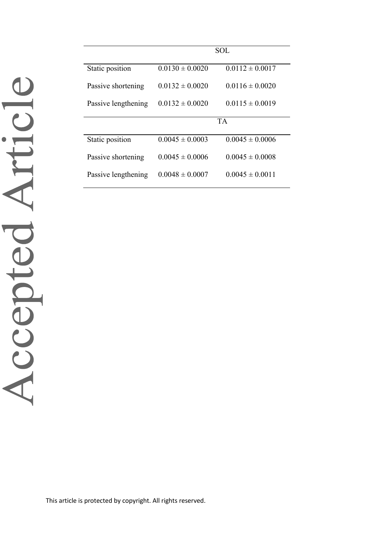|                     | <b>SOL</b>          |                     |
|---------------------|---------------------|---------------------|
| Static position     | $0.0130 \pm 0.0020$ | $0.0112 \pm 0.0017$ |
| Passive shortening  | $0.0132 \pm 0.0020$ | $0.0116 \pm 0.0020$ |
| Passive lengthening | $0.0132 \pm 0.0020$ | $0.0115 \pm 0.0019$ |
|                     | <b>TA</b>           |                     |
| Static position     | $0.0045 \pm 0.0003$ | $0.0045 \pm 0.0006$ |
| Passive shortening  | $0.0045 \pm 0.0006$ | $0.0045 \pm 0.0008$ |
| Passive lengthening | $0.0048 \pm 0.0007$ | $0.0045 \pm 0.0011$ |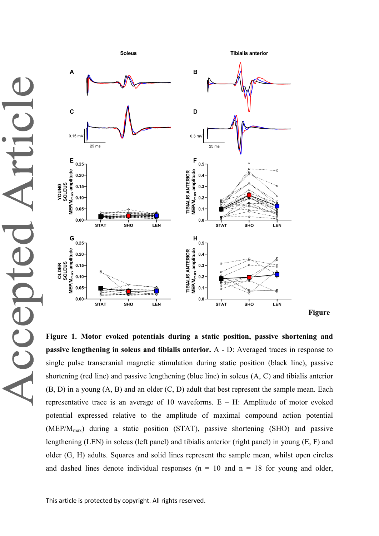ticl CCED



**Figure 1. Motor evoked potentials during a static position, passive shortening and passive lengthening in soleus and tibialis anterior.** A - D: Averaged traces in response to single pulse transcranial magnetic stimulation during static position (black line), passive shortening (red line) and passive lengthening (blue line) in soleus (A, C) and tibialis anterior (B, D) in a young (A, B) and an older (C, D) adult that best represent the sample mean. Each representative trace is an average of 10 waveforms.  $E - H$ : Amplitude of motor evoked potential expressed relative to the amplitude of maximal compound action potential  $(MEP/M<sub>max</sub>)$  during a static position (STAT), passive shortening (SHO) and passive lengthening (LEN) in soleus (left panel) and tibialis anterior (right panel) in young (E, F) and older (G, H) adults. Squares and solid lines represent the sample mean, whilst open circles and dashed lines denote individual responses ( $n = 10$  and  $n = 18$  for young and older,